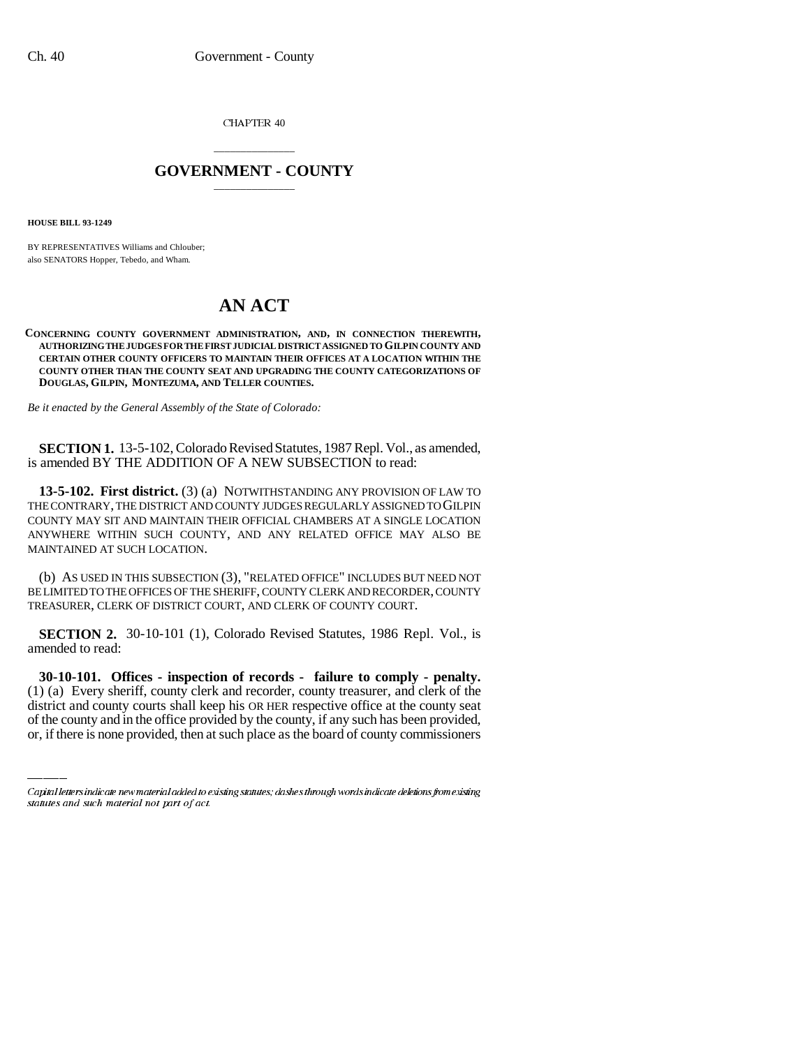CHAPTER 40

## \_\_\_\_\_\_\_\_\_\_\_\_\_\_\_ **GOVERNMENT - COUNTY** \_\_\_\_\_\_\_\_\_\_\_\_\_\_\_

**HOUSE BILL 93-1249**

BY REPRESENTATIVES Williams and Chlouber; also SENATORS Hopper, Tebedo, and Wham.

## **AN ACT**

## **CONCERNING COUNTY GOVERNMENT ADMINISTRATION, AND, IN CONNECTION THEREWITH, AUTHORIZING THE JUDGES FOR THE FIRST JUDICIAL DISTRICT ASSIGNED TO GILPIN COUNTY AND CERTAIN OTHER COUNTY OFFICERS TO MAINTAIN THEIR OFFICES AT A LOCATION WITHIN THE COUNTY OTHER THAN THE COUNTY SEAT AND UPGRADING THE COUNTY CATEGORIZATIONS OF DOUGLAS, GILPIN, MONTEZUMA, AND TELLER COUNTIES.**

*Be it enacted by the General Assembly of the State of Colorado:*

**SECTION 1.** 13-5-102, Colorado Revised Statutes, 1987 Repl. Vol., as amended, is amended BY THE ADDITION OF A NEW SUBSECTION to read:

**13-5-102. First district.** (3) (a) NOTWITHSTANDING ANY PROVISION OF LAW TO THE CONTRARY, THE DISTRICT AND COUNTY JUDGES REGULARLY ASSIGNED TO GILPIN COUNTY MAY SIT AND MAINTAIN THEIR OFFICIAL CHAMBERS AT A SINGLE LOCATION ANYWHERE WITHIN SUCH COUNTY, AND ANY RELATED OFFICE MAY ALSO BE MAINTAINED AT SUCH LOCATION.

(b) AS USED IN THIS SUBSECTION (3), "RELATED OFFICE" INCLUDES BUT NEED NOT BE LIMITED TO THE OFFICES OF THE SHERIFF, COUNTY CLERK AND RECORDER, COUNTY TREASURER, CLERK OF DISTRICT COURT, AND CLERK OF COUNTY COURT.

**SECTION 2.** 30-10-101 (1), Colorado Revised Statutes, 1986 Repl. Vol., is amended to read:

 **30-10-101. Offices - inspection of records - failure to comply - penalty.** (1) (a) Every sheriff, county clerk and recorder, county treasurer, and clerk of the district and county courts shall keep his OR HER respective office at the county seat of the county and in the office provided by the county, if any such has been provided, or, if there is none provided, then at such place as the board of county commissioners

Capital letters indicate new material added to existing statutes; dashes through words indicate deletions from existing statutes and such material not part of act.